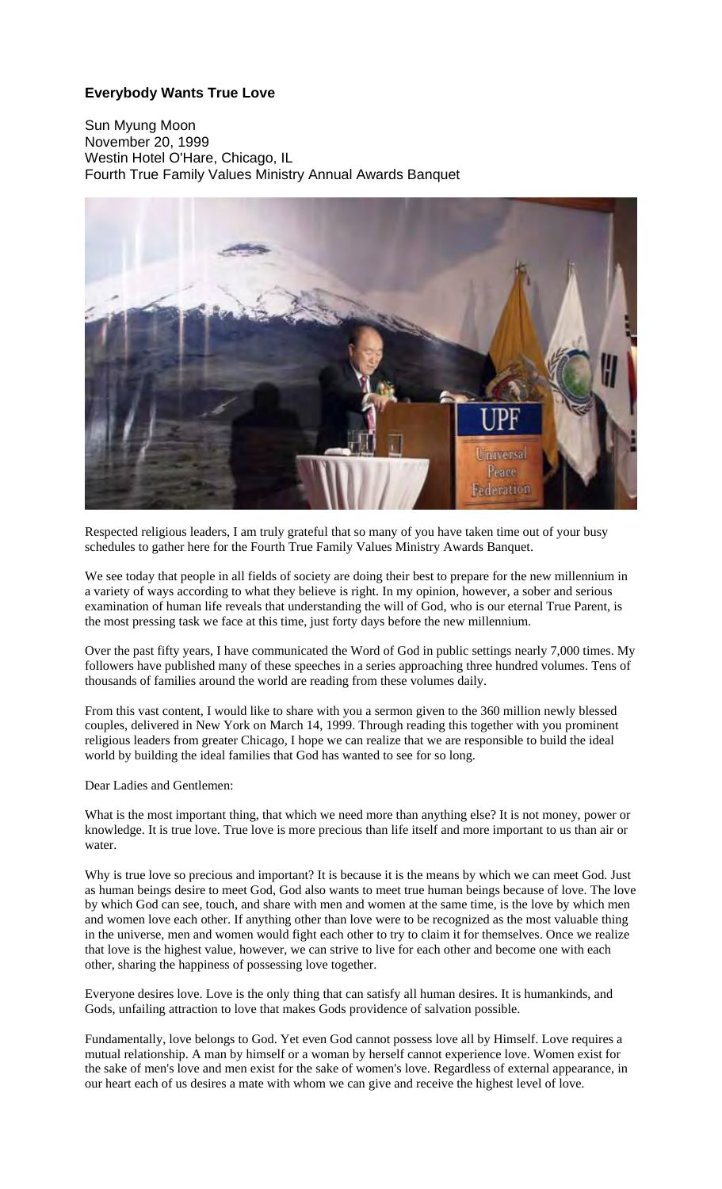## **Everybody Wants True Love**

Sun Myung Moon November 20, 1999 Westin Hotel O'Hare, Chicago, IL Fourth True Family Values Ministry Annual Awards Banquet



Respected religious leaders, I am truly grateful that so many of you have taken time out of your busy schedules to gather here for the Fourth True Family Values Ministry Awards Banquet.

We see today that people in all fields of society are doing their best to prepare for the new millennium in a variety of ways according to what they believe is right. In my opinion, however, a sober and serious examination of human life reveals that understanding the will of God, who is our eternal True Parent, is the most pressing task we face at this time, just forty days before the new millennium.

Over the past fifty years, I have communicated the Word of God in public settings nearly 7,000 times. My followers have published many of these speeches in a series approaching three hundred volumes. Tens of thousands of families around the world are reading from these volumes daily.

From this vast content, I would like to share with you a sermon given to the 360 million newly blessed couples, delivered in New York on March 14, 1999. Through reading this together with you prominent religious leaders from greater Chicago, I hope we can realize that we are responsible to build the ideal world by building the ideal families that God has wanted to see for so long.

Dear Ladies and Gentlemen:

What is the most important thing, that which we need more than anything else? It is not money, power or knowledge. It is true love. True love is more precious than life itself and more important to us than air or water.

Why is true love so precious and important? It is because it is the means by which we can meet God. Just as human beings desire to meet God, God also wants to meet true human beings because of love. The love by which God can see, touch, and share with men and women at the same time, is the love by which men and women love each other. If anything other than love were to be recognized as the most valuable thing in the universe, men and women would fight each other to try to claim it for themselves. Once we realize that love is the highest value, however, we can strive to live for each other and become one with each other, sharing the happiness of possessing love together.

Everyone desires love. Love is the only thing that can satisfy all human desires. It is humankinds, and Gods, unfailing attraction to love that makes Gods providence of salvation possible.

Fundamentally, love belongs to God. Yet even God cannot possess love all by Himself. Love requires a mutual relationship. A man by himself or a woman by herself cannot experience love. Women exist for the sake of men's love and men exist for the sake of women's love. Regardless of external appearance, in our heart each of us desires a mate with whom we can give and receive the highest level of love.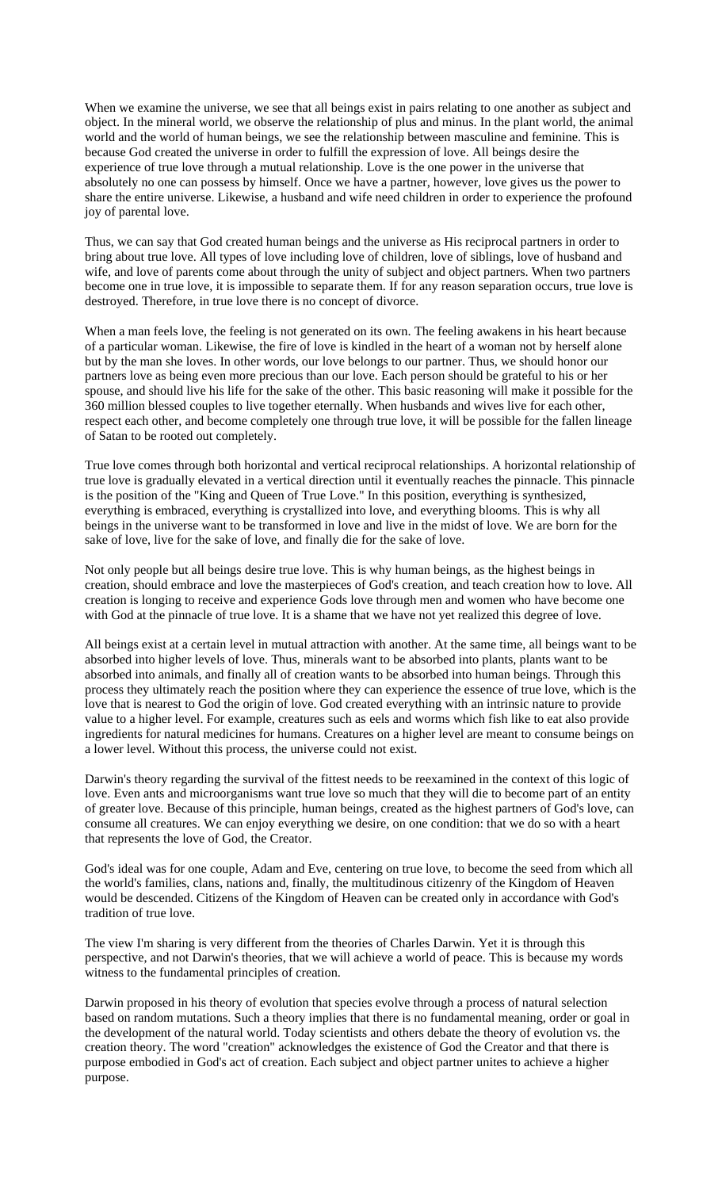When we examine the universe, we see that all beings exist in pairs relating to one another as subject and object. In the mineral world, we observe the relationship of plus and minus. In the plant world, the animal world and the world of human beings, we see the relationship between masculine and feminine. This is because God created the universe in order to fulfill the expression of love. All beings desire the experience of true love through a mutual relationship. Love is the one power in the universe that absolutely no one can possess by himself. Once we have a partner, however, love gives us the power to share the entire universe. Likewise, a husband and wife need children in order to experience the profound joy of parental love.

Thus, we can say that God created human beings and the universe as His reciprocal partners in order to bring about true love. All types of love including love of children, love of siblings, love of husband and wife, and love of parents come about through the unity of subject and object partners. When two partners become one in true love, it is impossible to separate them. If for any reason separation occurs, true love is destroyed. Therefore, in true love there is no concept of divorce.

When a man feels love, the feeling is not generated on its own. The feeling awakens in his heart because of a particular woman. Likewise, the fire of love is kindled in the heart of a woman not by herself alone but by the man she loves. In other words, our love belongs to our partner. Thus, we should honor our partners love as being even more precious than our love. Each person should be grateful to his or her spouse, and should live his life for the sake of the other. This basic reasoning will make it possible for the 360 million blessed couples to live together eternally. When husbands and wives live for each other, respect each other, and become completely one through true love, it will be possible for the fallen lineage of Satan to be rooted out completely.

True love comes through both horizontal and vertical reciprocal relationships. A horizontal relationship of true love is gradually elevated in a vertical direction until it eventually reaches the pinnacle. This pinnacle is the position of the "King and Queen of True Love." In this position, everything is synthesized, everything is embraced, everything is crystallized into love, and everything blooms. This is why all beings in the universe want to be transformed in love and live in the midst of love. We are born for the sake of love, live for the sake of love, and finally die for the sake of love.

Not only people but all beings desire true love. This is why human beings, as the highest beings in creation, should embrace and love the masterpieces of God's creation, and teach creation how to love. All creation is longing to receive and experience Gods love through men and women who have become one with God at the pinnacle of true love. It is a shame that we have not yet realized this degree of love.

All beings exist at a certain level in mutual attraction with another. At the same time, all beings want to be absorbed into higher levels of love. Thus, minerals want to be absorbed into plants, plants want to be absorbed into animals, and finally all of creation wants to be absorbed into human beings. Through this process they ultimately reach the position where they can experience the essence of true love, which is the love that is nearest to God the origin of love. God created everything with an intrinsic nature to provide value to a higher level. For example, creatures such as eels and worms which fish like to eat also provide ingredients for natural medicines for humans. Creatures on a higher level are meant to consume beings on a lower level. Without this process, the universe could not exist.

Darwin's theory regarding the survival of the fittest needs to be reexamined in the context of this logic of love. Even ants and microorganisms want true love so much that they will die to become part of an entity of greater love. Because of this principle, human beings, created as the highest partners of God's love, can consume all creatures. We can enjoy everything we desire, on one condition: that we do so with a heart that represents the love of God, the Creator.

God's ideal was for one couple, Adam and Eve, centering on true love, to become the seed from which all the world's families, clans, nations and, finally, the multitudinous citizenry of the Kingdom of Heaven would be descended. Citizens of the Kingdom of Heaven can be created only in accordance with God's tradition of true love.

The view I'm sharing is very different from the theories of Charles Darwin. Yet it is through this perspective, and not Darwin's theories, that we will achieve a world of peace. This is because my words witness to the fundamental principles of creation.

Darwin proposed in his theory of evolution that species evolve through a process of natural selection based on random mutations. Such a theory implies that there is no fundamental meaning, order or goal in the development of the natural world. Today scientists and others debate the theory of evolution vs. the creation theory. The word "creation" acknowledges the existence of God the Creator and that there is purpose embodied in God's act of creation. Each subject and object partner unites to achieve a higher purpose.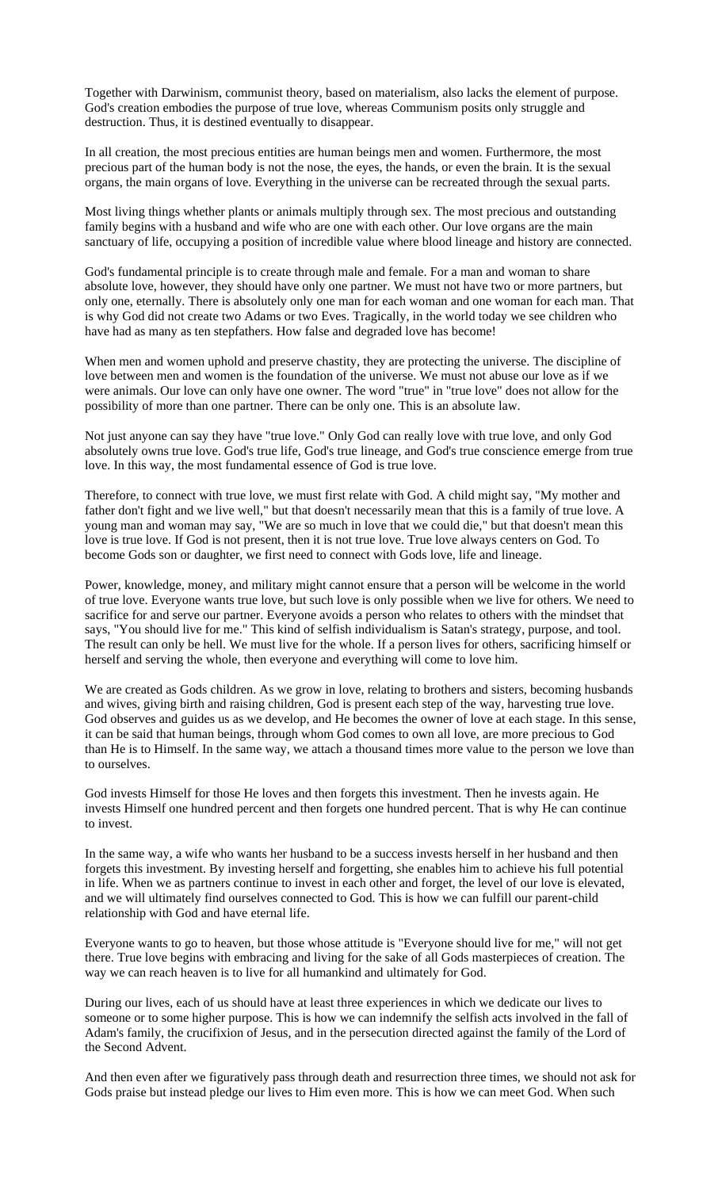Together with Darwinism, communist theory, based on materialism, also lacks the element of purpose. God's creation embodies the purpose of true love, whereas Communism posits only struggle and destruction. Thus, it is destined eventually to disappear.

In all creation, the most precious entities are human beings men and women. Furthermore, the most precious part of the human body is not the nose, the eyes, the hands, or even the brain. It is the sexual organs, the main organs of love. Everything in the universe can be recreated through the sexual parts.

Most living things whether plants or animals multiply through sex. The most precious and outstanding family begins with a husband and wife who are one with each other. Our love organs are the main sanctuary of life, occupying a position of incredible value where blood lineage and history are connected.

God's fundamental principle is to create through male and female. For a man and woman to share absolute love, however, they should have only one partner. We must not have two or more partners, but only one, eternally. There is absolutely only one man for each woman and one woman for each man. That is why God did not create two Adams or two Eves. Tragically, in the world today we see children who have had as many as ten stepfathers. How false and degraded love has become!

When men and women uphold and preserve chastity, they are protecting the universe. The discipline of love between men and women is the foundation of the universe. We must not abuse our love as if we were animals. Our love can only have one owner. The word "true" in "true love" does not allow for the possibility of more than one partner. There can be only one. This is an absolute law.

Not just anyone can say they have "true love." Only God can really love with true love, and only God absolutely owns true love. God's true life, God's true lineage, and God's true conscience emerge from true love. In this way, the most fundamental essence of God is true love.

Therefore, to connect with true love, we must first relate with God. A child might say, "My mother and father don't fight and we live well," but that doesn't necessarily mean that this is a family of true love. A young man and woman may say, "We are so much in love that we could die," but that doesn't mean this love is true love. If God is not present, then it is not true love. True love always centers on God. To become Gods son or daughter, we first need to connect with Gods love, life and lineage.

Power, knowledge, money, and military might cannot ensure that a person will be welcome in the world of true love. Everyone wants true love, but such love is only possible when we live for others. We need to sacrifice for and serve our partner. Everyone avoids a person who relates to others with the mindset that says, "You should live for me." This kind of selfish individualism is Satan's strategy, purpose, and tool. The result can only be hell. We must live for the whole. If a person lives for others, sacrificing himself or herself and serving the whole, then everyone and everything will come to love him.

We are created as Gods children. As we grow in love, relating to brothers and sisters, becoming husbands and wives, giving birth and raising children, God is present each step of the way, harvesting true love. God observes and guides us as we develop, and He becomes the owner of love at each stage. In this sense, it can be said that human beings, through whom God comes to own all love, are more precious to God than He is to Himself. In the same way, we attach a thousand times more value to the person we love than to ourselves.

God invests Himself for those He loves and then forgets this investment. Then he invests again. He invests Himself one hundred percent and then forgets one hundred percent. That is why He can continue to invest.

In the same way, a wife who wants her husband to be a success invests herself in her husband and then forgets this investment. By investing herself and forgetting, she enables him to achieve his full potential in life. When we as partners continue to invest in each other and forget, the level of our love is elevated, and we will ultimately find ourselves connected to God. This is how we can fulfill our parent-child relationship with God and have eternal life.

Everyone wants to go to heaven, but those whose attitude is "Everyone should live for me," will not get there. True love begins with embracing and living for the sake of all Gods masterpieces of creation. The way we can reach heaven is to live for all humankind and ultimately for God.

During our lives, each of us should have at least three experiences in which we dedicate our lives to someone or to some higher purpose. This is how we can indemnify the selfish acts involved in the fall of Adam's family, the crucifixion of Jesus, and in the persecution directed against the family of the Lord of the Second Advent.

And then even after we figuratively pass through death and resurrection three times, we should not ask for Gods praise but instead pledge our lives to Him even more. This is how we can meet God. When such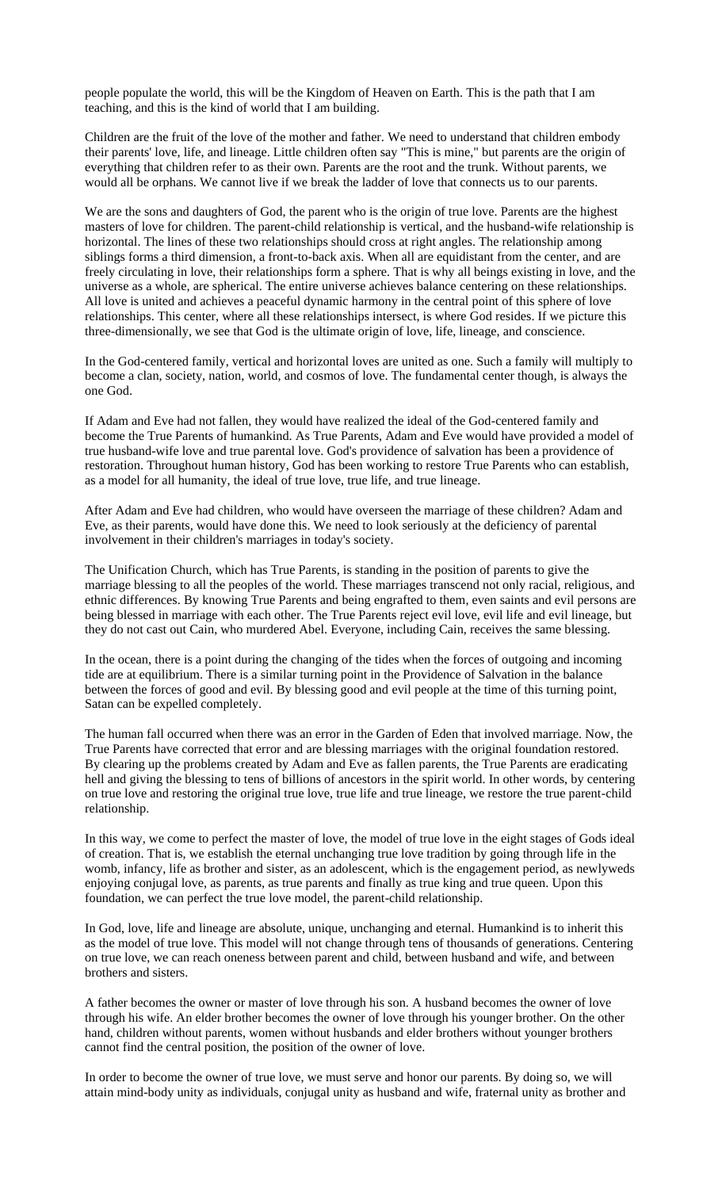people populate the world, this will be the Kingdom of Heaven on Earth. This is the path that I am teaching, and this is the kind of world that I am building.

Children are the fruit of the love of the mother and father. We need to understand that children embody their parents' love, life, and lineage. Little children often say "This is mine," but parents are the origin of everything that children refer to as their own. Parents are the root and the trunk. Without parents, we would all be orphans. We cannot live if we break the ladder of love that connects us to our parents.

We are the sons and daughters of God, the parent who is the origin of true love. Parents are the highest masters of love for children. The parent-child relationship is vertical, and the husband-wife relationship is horizontal. The lines of these two relationships should cross at right angles. The relationship among siblings forms a third dimension, a front-to-back axis. When all are equidistant from the center, and are freely circulating in love, their relationships form a sphere. That is why all beings existing in love, and the universe as a whole, are spherical. The entire universe achieves balance centering on these relationships. All love is united and achieves a peaceful dynamic harmony in the central point of this sphere of love relationships. This center, where all these relationships intersect, is where God resides. If we picture this three-dimensionally, we see that God is the ultimate origin of love, life, lineage, and conscience.

In the God-centered family, vertical and horizontal loves are united as one. Such a family will multiply to become a clan, society, nation, world, and cosmos of love. The fundamental center though, is always the one God.

If Adam and Eve had not fallen, they would have realized the ideal of the God-centered family and become the True Parents of humankind. As True Parents, Adam and Eve would have provided a model of true husband-wife love and true parental love. God's providence of salvation has been a providence of restoration. Throughout human history, God has been working to restore True Parents who can establish, as a model for all humanity, the ideal of true love, true life, and true lineage.

After Adam and Eve had children, who would have overseen the marriage of these children? Adam and Eve, as their parents, would have done this. We need to look seriously at the deficiency of parental involvement in their children's marriages in today's society.

The Unification Church, which has True Parents, is standing in the position of parents to give the marriage blessing to all the peoples of the world. These marriages transcend not only racial, religious, and ethnic differences. By knowing True Parents and being engrafted to them, even saints and evil persons are being blessed in marriage with each other. The True Parents reject evil love, evil life and evil lineage, but they do not cast out Cain, who murdered Abel. Everyone, including Cain, receives the same blessing.

In the ocean, there is a point during the changing of the tides when the forces of outgoing and incoming tide are at equilibrium. There is a similar turning point in the Providence of Salvation in the balance between the forces of good and evil. By blessing good and evil people at the time of this turning point, Satan can be expelled completely.

The human fall occurred when there was an error in the Garden of Eden that involved marriage. Now, the True Parents have corrected that error and are blessing marriages with the original foundation restored. By clearing up the problems created by Adam and Eve as fallen parents, the True Parents are eradicating hell and giving the blessing to tens of billions of ancestors in the spirit world. In other words, by centering on true love and restoring the original true love, true life and true lineage, we restore the true parent-child relationship.

In this way, we come to perfect the master of love, the model of true love in the eight stages of Gods ideal of creation. That is, we establish the eternal unchanging true love tradition by going through life in the womb, infancy, life as brother and sister, as an adolescent, which is the engagement period, as newlyweds enjoying conjugal love, as parents, as true parents and finally as true king and true queen. Upon this foundation, we can perfect the true love model, the parent-child relationship.

In God, love, life and lineage are absolute, unique, unchanging and eternal. Humankind is to inherit this as the model of true love. This model will not change through tens of thousands of generations. Centering on true love, we can reach oneness between parent and child, between husband and wife, and between brothers and sisters.

A father becomes the owner or master of love through his son. A husband becomes the owner of love through his wife. An elder brother becomes the owner of love through his younger brother. On the other hand, children without parents, women without husbands and elder brothers without younger brothers cannot find the central position, the position of the owner of love.

In order to become the owner of true love, we must serve and honor our parents. By doing so, we will attain mind-body unity as individuals, conjugal unity as husband and wife, fraternal unity as brother and